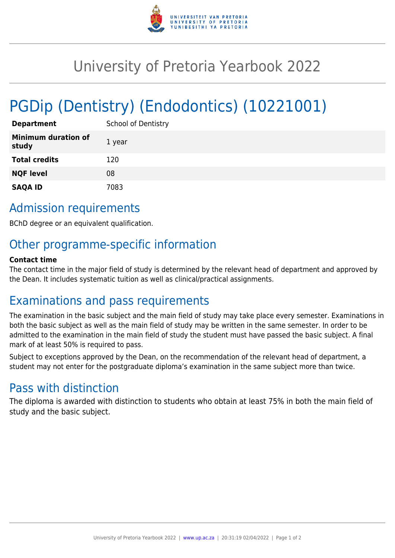

## University of Pretoria Yearbook 2022

# PGDip (Dentistry) (Endodontics) (10221001)

| <b>Department</b>                   | <b>School of Dentistry</b> |
|-------------------------------------|----------------------------|
| <b>Minimum duration of</b><br>study | 1 year                     |
| <b>Total credits</b>                | 120                        |
| <b>NQF level</b>                    | 08                         |
| <b>SAQA ID</b>                      | 7083                       |

## Admission requirements

BChD degree or an equivalent qualification.

## Other programme-specific information

#### **Contact time**

The contact time in the major field of study is determined by the relevant head of department and approved by the Dean. It includes systematic tuition as well as clinical/practical assignments.

### Examinations and pass requirements

The examination in the basic subject and the main field of study may take place every semester. Examinations in both the basic subject as well as the main field of study may be written in the same semester. In order to be admitted to the examination in the main field of study the student must have passed the basic subject. A final mark of at least 50% is required to pass.

Subject to exceptions approved by the Dean, on the recommendation of the relevant head of department, a student may not enter for the postgraduate diploma's examination in the same subject more than twice.

### Pass with distinction

The diploma is awarded with distinction to students who obtain at least 75% in both the main field of study and the basic subject.